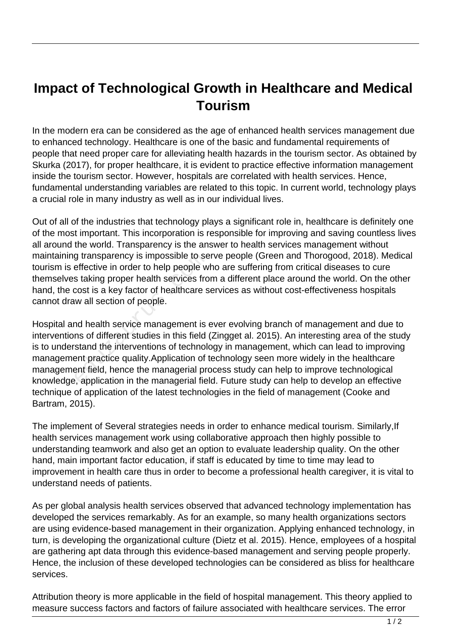## **Impact of Technological Growth in Healthcare and Medical Tourism**

In the modern era can be considered as the age of enhanced health services management due to enhanced technology. Healthcare is one of the basic and fundamental requirements of people that need proper care for alleviating health hazards in the tourism sector. As obtained by Skurka (2017), for proper healthcare, it is evident to practice effective information management inside the tourism sector. However, hospitals are correlated with health services. Hence, fundamental understanding variables are related to this topic. In current world, technology plays a crucial role in many industry as well as in our individual lives.

Out of all of the industries that technology plays a significant role in, healthcare is definitely one of the most important. This incorporation is responsible for improving and saving countless lives all around the world. Transparency is the answer to health services management without maintaining transparency is impossible to serve people (Green and Thorogood, 2018). Medical tourism is effective in order to help people who are suffering from critical diseases to cure themselves taking proper health services from a different place around the world. On the other hand, the cost is a key factor of healthcare services as without cost-effectiveness hospitals cannot draw all section of people.

Hospital and health service management is ever evolving branch of management and due to interventions of different studies in this field (Zingget al. 2015). An interesting area of the study is to understand the interventions of technology in management, which can lead to improving management practice quality.Application of technology seen more widely in the healthcare management field, hence the managerial process study can help to improve technological knowledge, application in the managerial field. Future study can help to develop an effective technique of application of the latest technologies in the field of management (Cooke and Bartram, 2015). g transparency is impossible to se<br>effective in order to help people w<br>s taking proper health services fro<br>cost is a key factor of healthcare s<br>w all section of people.<br>And health service management is<br>ins of different stu

The implement of Several strategies needs in order to enhance medical tourism. Similarly,If health services management work using collaborative approach then highly possible to understanding teamwork and also get an option to evaluate leadership quality. On the other hand, main important factor education, if staff is educated by time to time may lead to improvement in health care thus in order to become a professional health caregiver, it is vital to understand needs of patients.

As per global analysis health services observed that advanced technology implementation has developed the services remarkably. As for an example, so many health organizations sectors are using evidence-based management in their organization. Applying enhanced technology, in turn, is developing the organizational culture (Dietz et al. 2015). Hence, employees of a hospital are gathering apt data through this evidence-based management and serving people properly. Hence, the inclusion of these developed technologies can be considered as bliss for healthcare services.

Attribution theory is more applicable in the field of hospital management. This theory applied to measure success factors and factors of failure associated with healthcare services. The error